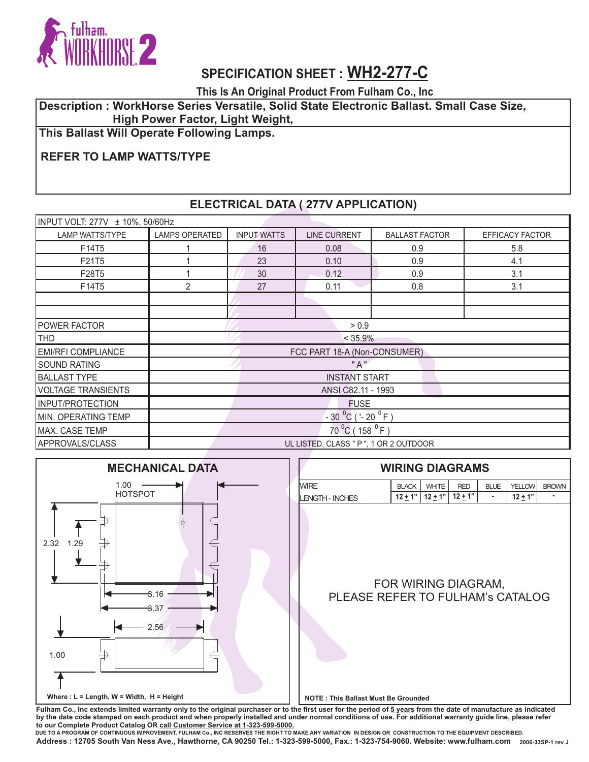

**This Is An Original Product From Fulham Co., Inc**

#### **Description : WorkHorse Series Versatile, Solid State Electronic Ballast. Small Case Size, High Power Factor, Light Weight,**

**This Ballast Will Operate Following Lamps.**

## **REFER TO LAMP WATTS/TYPE**

### **ELECTRICAL DATA ( 277V APPLICATION)**

| INPUT VOLT: 277V ± 10%, 50/60Hz |                                        |                    |                     |                       |                        |  |
|---------------------------------|----------------------------------------|--------------------|---------------------|-----------------------|------------------------|--|
| <b>LAMP WATTS/TYPE</b>          | <b>LAMPS OPERATED</b>                  | <b>INPUT WATTS</b> | <b>LINE CURRENT</b> | <b>BALLAST FACTOR</b> | <b>EFFICACY FACTOR</b> |  |
| F14T5                           |                                        | 16                 | 0.08                | 0.9                   | 5.8                    |  |
| F21T5                           |                                        | 23                 | 0.10                | 0.9                   | 4.1                    |  |
| F28T5                           |                                        | 30                 | 0.12                | 0.9                   | 3.1                    |  |
| F14T5                           | $\overline{2}$                         | 27                 | 0.11                | 0.8                   | 3.1                    |  |
|                                 |                                        |                    |                     |                       |                        |  |
|                                 |                                        |                    |                     |                       |                        |  |
| <b>IPOWER FACTOR</b>            | > 0.9                                  |                    |                     |                       |                        |  |
| <b>THD</b>                      | $< 35.9\%$                             |                    |                     |                       |                        |  |
| <b>EMI/RFI COMPLIANCE</b>       | FCC PART 18-A (Non-CONSUMER)           |                    |                     |                       |                        |  |
| <b>SOUND RATING</b>             | " A "                                  |                    |                     |                       |                        |  |
| <b>BALLAST TYPE</b>             | <b>INSTANT START</b>                   |                    |                     |                       |                        |  |
| <b>VOLTAGE TRANSIENTS</b>       | ANSI C82.11 - 1993                     |                    |                     |                       |                        |  |
| <b>INPUT/PROTECTION</b>         | <b>FUSE</b>                            |                    |                     |                       |                        |  |
| MIN. OPERATING TEMP             | $-30^{0}$ C ('-20 <sup>0</sup> F)      |                    |                     |                       |                        |  |
| MAX. CASE TEMP                  | $70^{0}$ C (158 $^{0}$ F)              |                    |                     |                       |                        |  |
| APPROVALS/CLASS                 | UL LISTED, CLASS " P ", 1 OR 2 OUTDOOR |                    |                     |                       |                        |  |



Fulham Co., Inc extends limited warranty only to the original purchaser or to the first user for the period of  $5$  years from the date of manufacture as indicated **by the date code stamped on each product and when properly installed and under normal conditions of use. For additional warranty guide line, please refer to our Complete Product Catalog OR call Customer Service at 1-323-599-5000.** 

 **2006-33SP-1 rev J Address : 12705 South Van Ness Ave., Hawthorne, CA 90250 Tel.: 1-323-599-5000, Fax.: 1-323-754-9060. Website: www.fulham.com DUE TO A PROGRAM OF CONTINUOUS IMPROVEMENT, FULHAM Co., INC RESERVES THE RIGHT TO MAKE ANY VARIATION IN DESIGN OR CONSTRUCTION TO THE EQUIPMENT DESCRIBED.**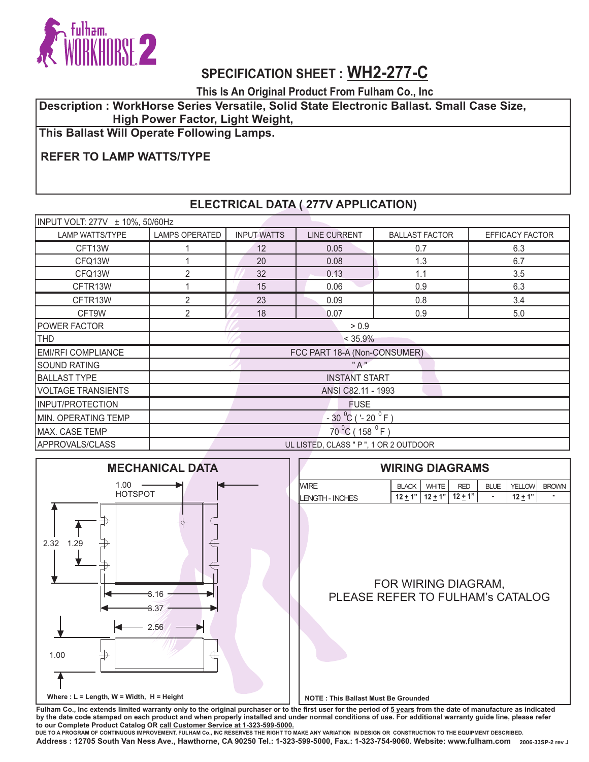

**This Is An Original Product From Fulham Co., Inc**

#### **Description : WorkHorse Series Versatile, Solid State Electronic Ballast. Small Case Size, High Power Factor, Light Weight,**

**This Ballast Will Operate Following Lamps.**

## **REFER TO LAMP WATTS/TYPE**

### **ELECTRICAL DATA ( 277V APPLICATION)**

| INPUT VOLT: 277V ± 10%, 50/60Hz |                                        |                    |                     |                       |                        |  |  |
|---------------------------------|----------------------------------------|--------------------|---------------------|-----------------------|------------------------|--|--|
| <b>LAMP WATTS/TYPE</b>          | <b>LAMPS OPERATED</b>                  | <b>INPUT WATTS</b> | <b>LINE CURRENT</b> | <b>BALLAST FACTOR</b> | <b>EFFICACY FACTOR</b> |  |  |
| CFT13W                          |                                        | 12                 | 0.05                | 0.7                   | 6.3                    |  |  |
| CFQ13W                          |                                        | 20                 | 0.08                | 1.3                   | 6.7                    |  |  |
| CFQ13W                          | $\overline{2}$                         | 32                 | 0.13                | 1.1                   | 3.5                    |  |  |
| CFTR13W                         |                                        | 15                 | 0.06                | 0.9                   | 6.3                    |  |  |
| CFTR13W                         | 2                                      | 23                 | 0.09                | 0.8                   | 3.4                    |  |  |
| CFT9W                           | $\overline{2}$                         | 18                 | 0.07                | 0.9                   | 5.0                    |  |  |
| <b>POWER FACTOR</b>             | > 0.9                                  |                    |                     |                       |                        |  |  |
| <b>THD</b>                      | $< 35.9\%$                             |                    |                     |                       |                        |  |  |
| <b>EMI/RFI COMPLIANCE</b>       | FCC PART 18-A (Non-CONSUMER)           |                    |                     |                       |                        |  |  |
| <b>SOUND RATING</b>             | "A"                                    |                    |                     |                       |                        |  |  |
| <b>BALLAST TYPE</b>             | <b>INSTANT START</b>                   |                    |                     |                       |                        |  |  |
| <b>VOLTAGE TRANSIENTS</b>       | ANSI C82.11 - 1993                     |                    |                     |                       |                        |  |  |
| INPUT/PROTECTION                | <b>FUSE</b>                            |                    |                     |                       |                        |  |  |
| MIN. OPERATING TEMP             | $-30\ ^{0}C$ ( '- 20 $^{0}$ F)         |                    |                     |                       |                        |  |  |
| MAX. CASE TEMP                  | $70^{0}$ C (158 $^{0}$ F)              |                    |                     |                       |                        |  |  |
| APPROVALS/CLASS                 | UL LISTED, CLASS " P ", 1 OR 2 OUTDOOR |                    |                     |                       |                        |  |  |



Fulham Co., Inc extends limited warranty only to the original purchaser or to the first user for the period of  $5$  years from the date of manufacture as indicated **by the date code stamped on each product and when properly installed and under normal conditions of use. For additional warranty guide line, please refer to our Complete Product Catalog OR call Customer Service at 1-323-599-5000.** 

 **2006-33SP-2 rev J Address : 12705 South Van Ness Ave., Hawthorne, CA 90250 Tel.: 1-323-599-5000, Fax.: 1-323-754-9060. Website: www.fulham.com DUE TO A PROGRAM OF CONTINUOUS IMPROVEMENT, FULHAM Co., INC RESERVES THE RIGHT TO MAKE ANY VARIATION IN DESIGN OR CONSTRUCTION TO THE EQUIPMENT DESCRIBED.**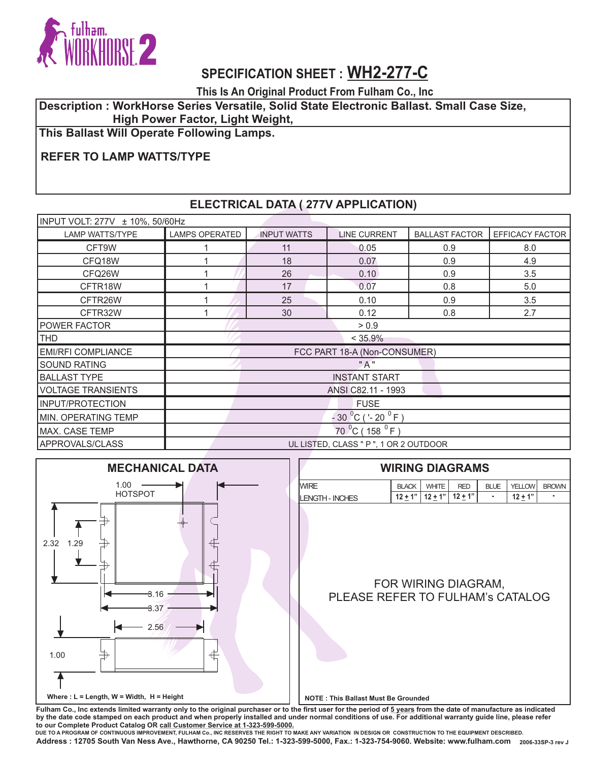

**This Is An Original Product From Fulham Co., Inc**

#### **Description : WorkHorse Series Versatile, Solid State Electronic Ballast. Small Case Size, High Power Factor, Light Weight,**

**This Ballast Will Operate Following Lamps.**

## **REFER TO LAMP WATTS/TYPE**

### **ELECTRICAL DATA ( 277V APPLICATION)**

| INPUT VOLT: 277V ± 10%, 50/60Hz |                                        |                    |                     |                       |                 |  |
|---------------------------------|----------------------------------------|--------------------|---------------------|-----------------------|-----------------|--|
| <b>LAMP WATTS/TYPE</b>          | <b>LAMPS OPERATED</b>                  | <b>INPUT WATTS</b> | <b>LINE CURRENT</b> | <b>BALLAST FACTOR</b> | EFFICACY FACTOR |  |
| CFT9W                           |                                        | 11                 | 0.05                | 0.9                   | 8.0             |  |
| CFQ18W                          |                                        | 18                 | 0.07                | 0.9                   | 4.9             |  |
| CFQ26W                          |                                        | 26                 | 0.10                | 0.9                   | 3.5             |  |
| CFTR18W                         |                                        | 17                 | 0.07                | 0.8                   | 5.0             |  |
| CFTR26W                         |                                        | 25                 | 0.10                | 0.9                   | 3.5             |  |
| CFTR32W                         |                                        | 30                 | 0.12                | 0.8                   | 2.7             |  |
| <b>POWER FACTOR</b>             | > 0.9                                  |                    |                     |                       |                 |  |
| <b>THD</b>                      | $< 35.9\%$                             |                    |                     |                       |                 |  |
| <b>EMI/RFI COMPLIANCE</b>       | FCC PART 18-A (Non-CONSUMER)           |                    |                     |                       |                 |  |
| <b>SOUND RATING</b>             | "A"                                    |                    |                     |                       |                 |  |
| <b>BALLAST TYPE</b>             | <b>INSTANT START</b>                   |                    |                     |                       |                 |  |
| <b>VOLTAGE TRANSIENTS</b>       | ANSI C82.11 - 1993                     |                    |                     |                       |                 |  |
| INPUT/PROTECTION                | <b>FUSE</b>                            |                    |                     |                       |                 |  |
| MIN. OPERATING TEMP             | $-30^{0}$ C ('-20 <sup>0</sup> F)      |                    |                     |                       |                 |  |
| MAX. CASE TEMP                  | $70^{0}$ C (158 $^{0}$ F)              |                    |                     |                       |                 |  |
| APPROVALS/CLASS                 | UL LISTED, CLASS " P ", 1 OR 2 OUTDOOR |                    |                     |                       |                 |  |



Fulham Co., Inc extends limited warranty only to the original purchaser or to the first user for the period of  $5$  years from the date of manufacture as indicated **by the date code stamped on each product and when properly installed and under normal conditions of use. For additional warranty guide line, please refer to our Complete Product Catalog OR call Customer Service at 1-323-599-5000.** 

 **2006-33SP-3 rev J Address : 12705 South Van Ness Ave., Hawthorne, CA 90250 Tel.: 1-323-599-5000, Fax.: 1-323-754-9060. Website: www.fulham.com DUE TO A PROGRAM OF CONTINUOUS IMPROVEMENT, FULHAM Co., INC RESERVES THE RIGHT TO MAKE ANY VARIATION IN DESIGN OR CONSTRUCTION TO THE EQUIPMENT DESCRIBED.**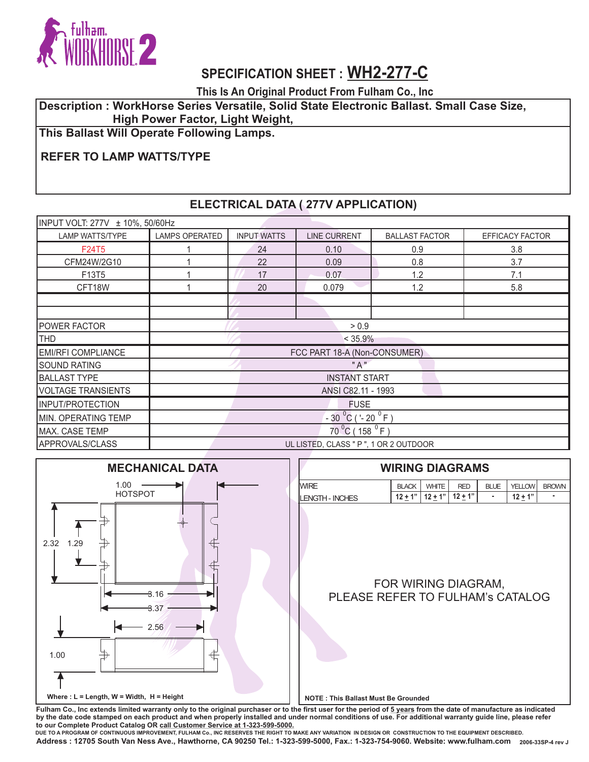

**This Is An Original Product From Fulham Co., Inc**

#### **Description : WorkHorse Series Versatile, Solid State Electronic Ballast. Small Case Size, High Power Factor, Light Weight,**

**This Ballast Will Operate Following Lamps.**

## **REFER TO LAMP WATTS/TYPE**

### **ELECTRICAL DATA ( 277V APPLICATION)**

| INPUT VOLT: 277V ± 10%, 50/60Hz |                                        |                    |                     |                       |                 |  |
|---------------------------------|----------------------------------------|--------------------|---------------------|-----------------------|-----------------|--|
| <b>LAMP WATTS/TYPE</b>          | LAMPS OPERATED                         | <b>INPUT WATTS</b> | <b>LINE CURRENT</b> | <b>BALLAST FACTOR</b> | EFFICACY FACTOR |  |
| F24T5                           |                                        | 24                 | 0.10                | 0.9                   | 3.8             |  |
| CFM24W/2G10                     |                                        | 22                 | 0.09                | 0.8                   | 3.7             |  |
| F13T5                           |                                        | 17                 | 0.07                | 1.2                   | 7.1             |  |
| CFT18W                          |                                        | 20                 | 0.079               | 1.2                   | 5.8             |  |
|                                 |                                        |                    |                     |                       |                 |  |
|                                 |                                        |                    |                     |                       |                 |  |
| <b>POWER FACTOR</b>             | > 0.9                                  |                    |                     |                       |                 |  |
| <b>THD</b>                      | $< 35.9\%$                             |                    |                     |                       |                 |  |
| <b>EMI/RFI COMPLIANCE</b>       | FCC PART 18-A (Non-CONSUMER)           |                    |                     |                       |                 |  |
| <b>SOUND RATING</b>             | " A "                                  |                    |                     |                       |                 |  |
| <b>BALLAST TYPE</b>             | <b>INSTANT START</b>                   |                    |                     |                       |                 |  |
| <b>VOLTAGE TRANSIENTS</b>       | ANSI C82.11 - 1993                     |                    |                     |                       |                 |  |
| INPUT/PROTECTION                | <b>FUSE</b>                            |                    |                     |                       |                 |  |
| MIN. OPERATING TEMP             | $-30^{0}$ C ('-20 <sup>0</sup> F)      |                    |                     |                       |                 |  |
| MAX. CASE TEMP                  | $70^{0}$ C (158 $^{0}$ F)              |                    |                     |                       |                 |  |
| APPROVALS/CLASS                 | UL LISTED, CLASS " P ", 1 OR 2 OUTDOOR |                    |                     |                       |                 |  |



Fulham Co., Inc extends limited warranty only to the original purchaser or to the first user for the period of  $5$  years from the date of manufacture as indicated **by the date code stamped on each product and when properly installed and under normal conditions of use. For additional warranty guide line, please refer to our Complete Product Catalog OR call Customer Service at 1-323-599-5000.** 

 **2006-33SP-4 rev J Address : 12705 South Van Ness Ave., Hawthorne, CA 90250 Tel.: 1-323-599-5000, Fax.: 1-323-754-9060. Website: www.fulham.com DUE TO A PROGRAM OF CONTINUOUS IMPROVEMENT, FULHAM Co., INC RESERVES THE RIGHT TO MAKE ANY VARIATION IN DESIGN OR CONSTRUCTION TO THE EQUIPMENT DESCRIBED.**